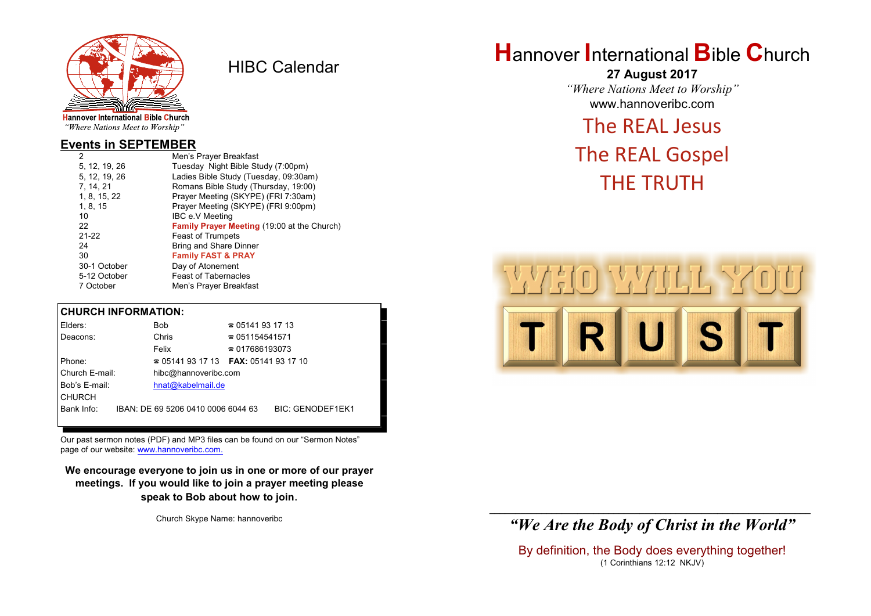

HIBC Calendar

"Where Nations Meet to Worship"

#### **Events in SEPTEMBER**

| 2 |               | Men's Prayer Breakfast                      |
|---|---------------|---------------------------------------------|
|   | 5, 12, 19, 26 | Tuesday Night Bible Study (7:00pm)          |
|   | 5, 12, 19, 26 | Ladies Bible Study (Tuesday, 09:30am)       |
|   | 7, 14, 21     | Romans Bible Study (Thursday, 19:00)        |
|   | 1, 8, 15, 22  | Prayer Meeting (SKYPE) (FRI 7:30am)         |
|   | 1, 8, 15      | Prayer Meeting (SKYPE) (FRI 9:00pm)         |
|   | 10            | IBC e.V Meeting                             |
|   | 22            | Family Prayer Meeting (19:00 at the Church) |
|   | $21 - 22$     | <b>Feast of Trumpets</b>                    |
|   | 24            | Bring and Share Dinner                      |
|   | 30            | <b>Family FAST &amp; PRAY</b>               |
|   | 30-1 October  | Day of Atonement                            |
|   | 5-12 October  | <b>Feast of Tabernacles</b>                 |
|   | 7 October     | Men's Prayer Breakfast                      |
|   |               |                                             |

#### **CHURCH INFORMATION:**

| Elders:        |  | Bob                                | $\approx 05141931713$                    |                         |  |
|----------------|--|------------------------------------|------------------------------------------|-------------------------|--|
| Deacons:       |  | Chris                              | $\approx 051154541571$                   |                         |  |
|                |  | Felix                              | $\approx 017686193073$                   |                         |  |
| Phone:         |  |                                    | $\approx 05141931713$ FAX: 0514193 17 10 |                         |  |
| Church E-mail: |  | hibc@hannoveribc.com               |                                          |                         |  |
| Bob's E-mail:  |  | hnat@kabelmail.de                  |                                          |                         |  |
| <b>CHURCH</b>  |  |                                    |                                          |                         |  |
| Bank Info:     |  | IBAN: DE 69 5206 0410 0006 6044 63 |                                          | <b>BIC: GENODEF1EK1</b> |  |
|                |  |                                    |                                          |                         |  |

Our past sermon notes (PDF) and MP3 files can be found on our "Sermon Notes" page of our website: [www.hannoveribc.com.](http://www.hannoveribc.com.)

**We encourage everyone to join us in one or more of our prayer meetings. If you would like to join a prayer meeting please speak to Bob about how to join**.

Church Skype Name: hannoveribc

# **H**annover **I**nternational **B**ible **C**hurch

**27 August 2017** *"Where Nations Meet to Worship"* www.hannoveribc.com

## The REAL Jesus

# The REAL Gospel THE TRUTH



#### \_\_\_\_\_\_\_\_\_\_\_\_\_\_\_\_\_\_\_\_\_\_\_\_\_\_\_\_\_\_\_\_\_\_\_\_\_\_\_\_\_\_\_\_\_\_\_\_\_\_\_\_\_\_\_\_\_\_\_\_\_\_ *"We Are the Body of Christ in the World"*

By definition, the Body does everything together! (1 Corinthians 12:12 NKJV)